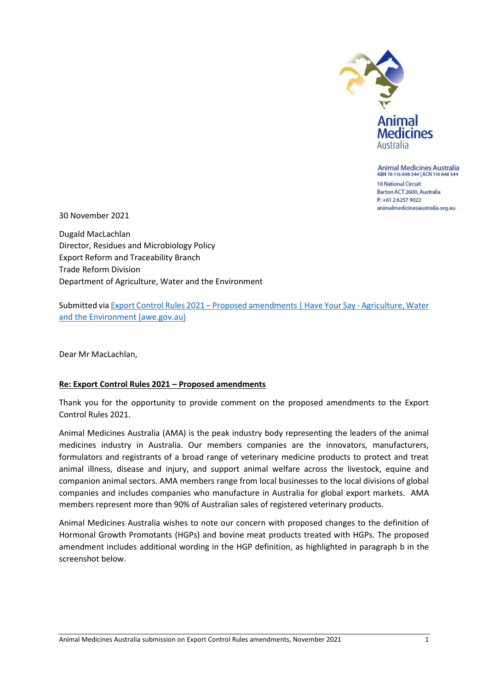

**Animal Medicines Australia** ABN 76 116 848 344 | ACN 116 848 344

**18 National Circuit** Barton ACT 2600, Australia P: +61 2 6257 9022 animalmedicinesaustralia.org.au

30 November 2021

Dugald MacLachlan Director, Residues and Microbiology Policy Export Reform and Traceability Branch Trade Reform Division Department of Agriculture, Water and the Environment

Submitted via Export Control Rules 2021 – [Proposed amendments | Have Your Say -](https://haveyoursay.awe.gov.au/export-control-rules-2021-proposed-amendments/survey_tools/export-control-rules-2021-proposed-amendments) Agriculture, Water [and the Environment \(awe.gov.au\)](https://haveyoursay.awe.gov.au/export-control-rules-2021-proposed-amendments/survey_tools/export-control-rules-2021-proposed-amendments)

Dear Mr MacLachlan,

## **Re: Export Control Rules 2021 – Proposed amendments**

Thank you for the opportunity to provide comment on the proposed amendments to the Export Control Rules 2021.

Animal Medicines Australia (AMA) is the peak industry body representing the leaders of the animal medicines industry in Australia. Our members companies are the innovators, manufacturers, formulators and registrants of a broad range of veterinary medicine products to protect and treat animal illness, disease and injury, and support animal welfare across the livestock, equine and companion animal sectors. AMA members range from local businesses to the local divisions of global companies and includes companies who manufacture in Australia for global export markets. AMA members represent more than 90% of Australian sales of registered veterinary products.

Animal Medicines Australia wishes to note our concern with proposed changes to the definition of Hormonal Growth Promotants (HGPs) and bovine meat products treated with HGPs. The proposed amendment includes additional wording in the HGP definition, as highlighted in paragraph b in the screenshot below.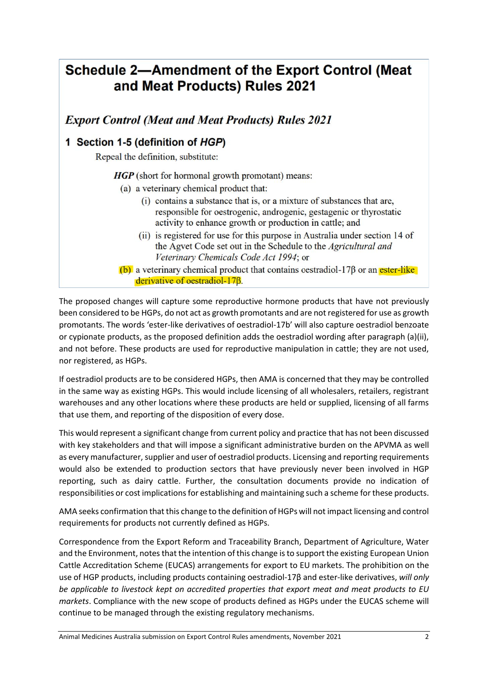## **Schedule 2-Amendment of the Export Control (Meat** and Meat Products) Rules 2021

**Export Control (Meat and Meat Products) Rules 2021** 

## 1 Section 1-5 (definition of HGP)

Repeal the definition, substitute:

**HGP** (short for hormonal growth promotant) means:

- (a) a veterinary chemical product that:
	- (i) contains a substance that is, or a mixture of substances that are, responsible for oestrogenic, androgenic, gestagenic or thyrostatic activity to enhance growth or production in cattle; and
	- (ii) is registered for use for this purpose in Australia under section 14 of the Agvet Code set out in the Schedule to the Agricultural and Veterinary Chemicals Code Act 1994; or
- $(b)$  a veterinary chemical product that contains oestradiol-17 $\beta$  or an ester-like derivative of oestradiol-178.

The proposed changes will capture some reproductive hormone products that have not previously been considered to be HGPs, do not act as growth promotants and are not registered for use as growth promotants. The words 'ester-like derivatives of oestradiol-17b' will also capture oestradiol benzoate or cypionate products, as the proposed definition adds the oestradiol wording after paragraph (a)(ii), and not before. These products are used for reproductive manipulation in cattle; they are not used, nor registered, as HGPs.

If oestradiol products are to be considered HGPs, then AMA is concerned that they may be controlled in the same way as existing HGPs. This would include licensing of all wholesalers, retailers, registrant warehouses and any other locations where these products are held or supplied, licensing of all farms that use them, and reporting of the disposition of every dose.

This would represent a significant change from current policy and practice that has not been discussed with key stakeholders and that will impose a significant administrative burden on the APVMA as well as every manufacturer, supplier and user of oestradiol products. Licensing and reporting requirements would also be extended to production sectors that have previously never been involved in HGP reporting, such as dairy cattle. Further, the consultation documents provide no indication of responsibilities or cost implications for establishing and maintaining such a scheme for these products.

AMA seeks confirmation that this change to the definition of HGPs will not impact licensing and control requirements for products not currently defined as HGPs.

Correspondence from the Export Reform and Traceability Branch, Department of Agriculture, Water and the Environment, notes that the intention of this change is to support the existing European Union Cattle Accreditation Scheme (EUCAS) arrangements for export to EU markets. The prohibition on the use of HGP products, including products containing oestradiol-17β and ester-like derivatives, *will only be applicable to livestock kept on accredited properties that export meat and meat products to EU markets*. Compliance with the new scope of products defined as HGPs under the EUCAS scheme will continue to be managed through the existing regulatory mechanisms.